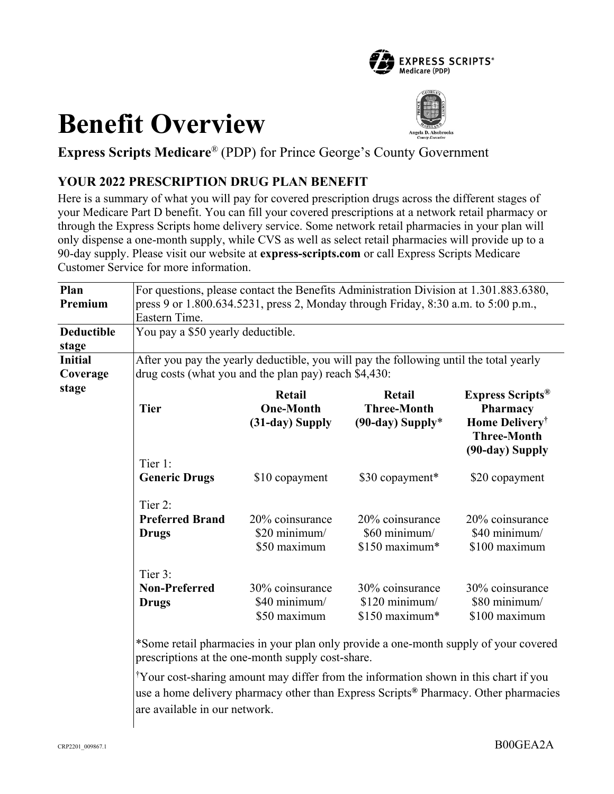

# **Benefit Overview**



**Express Scripts Medicare**® (PDP) for Prince George's County Government

# **YOUR 2022 PRESCRIPTION DRUG PLAN BENEFIT**

Here is a summary of what you will pay for covered prescription drugs across the different stages of your Medicare Part D benefit. You can fill your covered prescriptions at a network retail pharmacy or through the Express Scripts home delivery service. Some network retail pharmacies in your plan will only dispense a one-month supply, while CVS as well as select retail pharmacies will provide up to a 90-day supply. Please visit our website at **express-scripts.com** or call Express Scripts Medicare Customer Service for more information.

| Plan<br>Premium            | For questions, please contact the Benefits Administration Division at 1.301.883.6380,<br>press 9 or 1.800.634.5231, press 2, Monday through Friday, 8:30 a.m. to 5:00 p.m.,<br>Eastern Time. |                                                  |                                                       |                                                                                                                               |
|----------------------------|----------------------------------------------------------------------------------------------------------------------------------------------------------------------------------------------|--------------------------------------------------|-------------------------------------------------------|-------------------------------------------------------------------------------------------------------------------------------|
| <b>Deductible</b><br>stage | You pay a \$50 yearly deductible.                                                                                                                                                            |                                                  |                                                       |                                                                                                                               |
| Initial<br>Coverage        | After you pay the yearly deductible, you will pay the following until the total yearly<br>drug costs (what you and the plan pay) reach \$4,430:                                              |                                                  |                                                       |                                                                                                                               |
| stage                      | <b>Tier</b>                                                                                                                                                                                  | Retail<br><b>One-Month</b><br>(31-day) Supply    | Retail<br><b>Three-Month</b><br>$(90$ -day) Supply*   | <b>Express Scripts</b> <sup>®</sup><br><b>Pharmacy</b><br>Home Delivery <sup>†</sup><br><b>Three-Month</b><br>(90-day) Supply |
|                            | Tier 1:<br><b>Generic Drugs</b>                                                                                                                                                              | \$10 copayment                                   | \$30 copayment*                                       | \$20 copayment                                                                                                                |
|                            | Tier 2:<br><b>Preferred Brand</b><br><b>Drugs</b>                                                                                                                                            | 20% coinsurance<br>\$20 minimum/<br>\$50 maximum | 20% coinsurance<br>\$60 minimum/<br>\$150 maximum*    | 20% coinsurance<br>\$40 minimum/<br>\$100 maximum                                                                             |
|                            | Tier 3:<br><b>Non-Preferred</b><br><b>Drugs</b>                                                                                                                                              | 30% coinsurance<br>\$40 minimum/<br>\$50 maximum | 30% coinsurance<br>$$120$ minimum/<br>$$150$ maximum* | 30% coinsurance<br>\$80 minimum/<br>\$100 maximum                                                                             |

\*Some retail pharmacies in your plan only provide a one-month supply of your covered prescriptions at the one-month supply cost-share.

† Your cost-sharing amount may differ from the information shown in this chart if you use a home delivery pharmacy other than Express Scripts**®** Pharmacy. Other pharmacies are available in our network.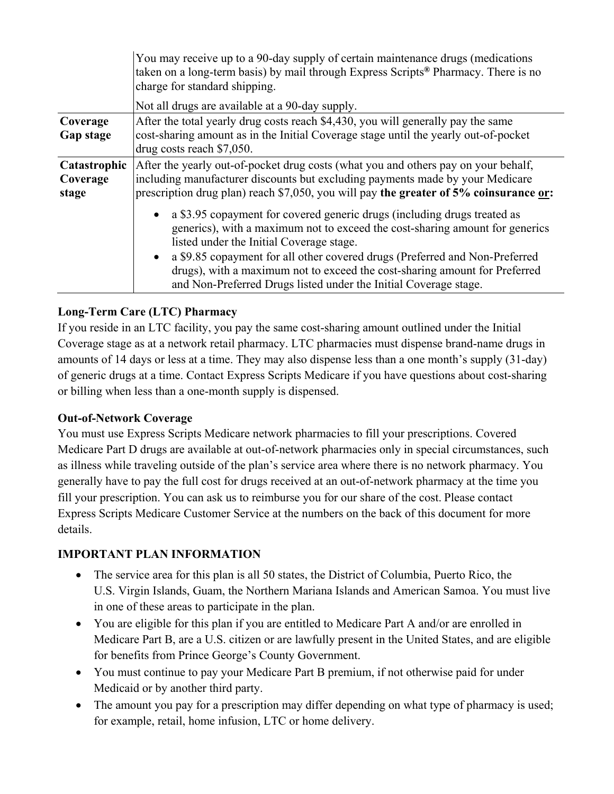|                                   | You may receive up to a 90-day supply of certain maintenance drugs (medications<br>taken on a long-term basis) by mail through Express Scripts <sup>®</sup> Pharmacy. There is no<br>charge for standard shipping.                                                                                                                                                                                                                    |  |  |
|-----------------------------------|---------------------------------------------------------------------------------------------------------------------------------------------------------------------------------------------------------------------------------------------------------------------------------------------------------------------------------------------------------------------------------------------------------------------------------------|--|--|
|                                   | Not all drugs are available at a 90-day supply.                                                                                                                                                                                                                                                                                                                                                                                       |  |  |
| Coverage<br>Gap stage             | After the total yearly drug costs reach \$4,430, you will generally pay the same<br>cost-sharing amount as in the Initial Coverage stage until the yearly out-of-pocket<br>drug costs reach \$7,050.                                                                                                                                                                                                                                  |  |  |
| Catastrophic<br>Coverage<br>stage | After the yearly out-of-pocket drug costs (what you and others pay on your behalf,<br>including manufacturer discounts but excluding payments made by your Medicare<br>prescription drug plan) reach \$7,050, you will pay the greater of 5% coinsurance or:                                                                                                                                                                          |  |  |
|                                   | a \$3.95 copayment for covered generic drugs (including drugs treated as<br>generics), with a maximum not to exceed the cost-sharing amount for generics<br>listed under the Initial Coverage stage.<br>a \$9.85 copayment for all other covered drugs (Preferred and Non-Preferred<br>drugs), with a maximum not to exceed the cost-sharing amount for Preferred<br>and Non-Preferred Drugs listed under the Initial Coverage stage. |  |  |

## **Long-Term Care (LTC) Pharmacy**

If you reside in an LTC facility, you pay the same cost-sharing amount outlined under the Initial Coverage stage as at a network retail pharmacy. LTC pharmacies must dispense brand-name drugs in amounts of 14 days or less at a time. They may also dispense less than a one month's supply (31-day) of generic drugs at a time. Contact Express Scripts Medicare if you have questions about cost-sharing or billing when less than a one-month supply is dispensed.

#### **Out-of-Network Coverage**

You must use Express Scripts Medicare network pharmacies to fill your prescriptions. Covered Medicare Part D drugs are available at out-of-network pharmacies only in special circumstances, such as illness while traveling outside of the plan's service area where there is no network pharmacy. You generally have to pay the full cost for drugs received at an out-of-network pharmacy at the time you fill your prescription. You can ask us to reimburse you for our share of the cost. Please contact Express Scripts Medicare Customer Service at the numbers on the back of this document for more details.

## **IMPORTANT PLAN INFORMATION**

- The service area for this plan is all 50 states, the District of Columbia, Puerto Rico, the U.S. Virgin Islands, Guam, the Northern Mariana Islands and American Samoa. You must live in one of these areas to participate in the plan.
- You are eligible for this plan if you are entitled to Medicare Part A and/or are enrolled in Medicare Part B, are a U.S. citizen or are lawfully present in the United States, and are eligible for benefits from Prince George's County Government.
- You must continue to pay your Medicare Part B premium, if not otherwise paid for under Medicaid or by another third party.
- The amount you pay for a prescription may differ depending on what type of pharmacy is used; for example, retail, home infusion, LTC or home delivery.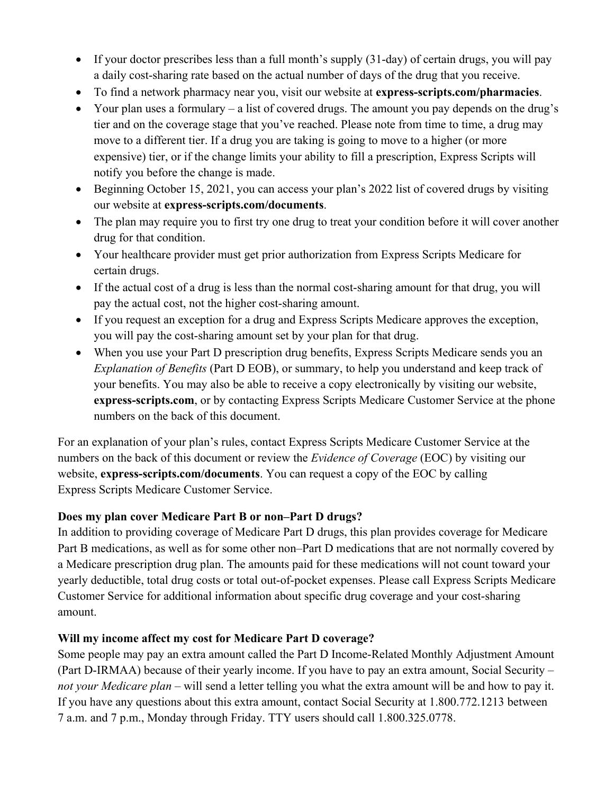- If your doctor prescribes less than a full month's supply (31-day) of certain drugs, you will pay a daily cost-sharing rate based on the actual number of days of the drug that you receive.
- To find a network pharmacy near you, visit our website at **express-scripts.com/pharmacies**.
- Your plan uses a formulary a list of covered drugs. The amount you pay depends on the drug's tier and on the coverage stage that you've reached. Please note from time to time, a drug may move to a different tier. If a drug you are taking is going to move to a higher (or more expensive) tier, or if the change limits your ability to fill a prescription, Express Scripts will notify you before the change is made.
- Beginning October 15, 2021, you can access your plan's 2022 list of covered drugs by visiting our website at **express-scripts.com/documents**.
- The plan may require you to first try one drug to treat your condition before it will cover another drug for that condition.
- Your healthcare provider must get prior authorization from Express Scripts Medicare for certain drugs.
- If the actual cost of a drug is less than the normal cost-sharing amount for that drug, you will pay the actual cost, not the higher cost-sharing amount.
- If you request an exception for a drug and Express Scripts Medicare approves the exception, you will pay the cost-sharing amount set by your plan for that drug.
- When you use your Part D prescription drug benefits, Express Scripts Medicare sends you an *Explanation of Benefits* (Part D EOB), or summary, to help you understand and keep track of your benefits. You may also be able to receive a copy electronically by visiting our website, **express-scripts.com**, or by contacting Express Scripts Medicare Customer Service at the phone numbers on the back of this document.

For an explanation of your plan's rules, contact Express Scripts Medicare Customer Service at the numbers on the back of this document or review the *Evidence of Coverage* (EOC) by visiting our website, **express-scripts.com/documents**. You can request a copy of the EOC by calling Express Scripts Medicare Customer Service.

#### **Does my plan cover Medicare Part B or non–Part D drugs?**

In addition to providing coverage of Medicare Part D drugs, this plan provides coverage for Medicare Part B medications, as well as for some other non–Part D medications that are not normally covered by a Medicare prescription drug plan. The amounts paid for these medications will not count toward your yearly deductible, total drug costs or total out-of-pocket expenses. Please call Express Scripts Medicare Customer Service for additional information about specific drug coverage and your cost-sharing amount.

#### **Will my income affect my cost for Medicare Part D coverage?**

Some people may pay an extra amount called the Part D Income-Related Monthly Adjustment Amount (Part D-IRMAA) because of their yearly income. If you have to pay an extra amount, Social Security – *not your Medicare plan* – will send a letter telling you what the extra amount will be and how to pay it. If you have any questions about this extra amount, contact Social Security at 1.800.772.1213 between 7 a.m. and 7 p.m., Monday through Friday. TTY users should call 1.800.325.0778.